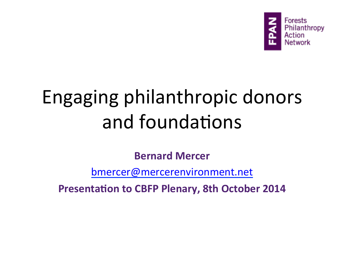

# Engaging philanthropic donors and foundations

**Bernard Mercer** 

bmercer@mercerenvironment.net 

**Presentation to CBFP Plenary, 8th October 2014**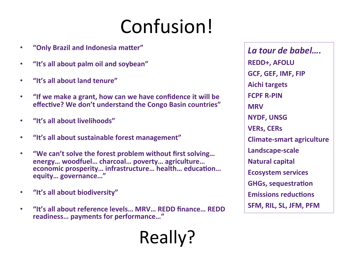# Confusion!

Really? 

- **•** "Only Brazil and Indonesia matter"
- **•** "It's all about palm oil and soybean"
- **"It's all about land tenure"**
- "If we make a grant, how can we have confidence it will be **effective?** We don't understand the Congo Basin countries"
- **•** "It's all about livelihoods"
- **•** "It's all about sustainable forest management"
- "We can't solve the forest problem without first solving... **energy… woodfuel… charcoal… poverty… agriculture… economic prosperity... infrastructure... health... education... equity… governance…"**
- **"It's all about biodiversity"**
- **•** "It's all about reference levels... MRV... REDD finance... REDD readiness... payments for performance..."

La tour de babel.... **REDD+, AFOLU GCF, GEF, IMF, FIP Aichi targets FCPF R-PIN MRV NYDF, UNSG VERs, CERs Climate-smart agriculture Landscape-scale Natural capital Ecosystem services GHGs, sequestration Emissions reductions SFM, RIL, SL, JFM, PFM**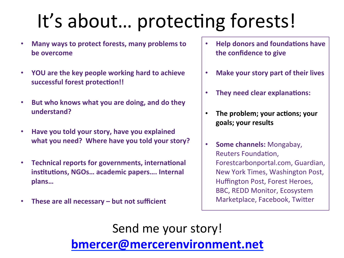# It's about... protecting forests!

- **Many ways to protect forests, many problems to be** overcome
- **YOU** are the key people working hard to achieve successful forest protection!!
- But who knows what you are doing, and do they **understand?**
- **Have you told your story, have you explained** what you need? Where have you told your story?
- **Technical reports for governments, international** institutions, NGOs... academic papers.... Internal **plans…**
- These are all necessary but not sufficient
- **Help donors and foundations have the confidence to give**
- **Make your story part of their lives**
- **They need clear explanations:**
- The problem; your actions; your **goals; your results**
- **Some channels:** Mongabay, Reuters Foundation. Forestcarbonportal.com, Guardian, New York Times, Washington Post, Huffington Post, Forest Heroes, **BBC, REDD Monitor, Ecosystem** Marketplace, Facebook, Twitter

Send me your story! **bmercer@mercerenvironment.net**